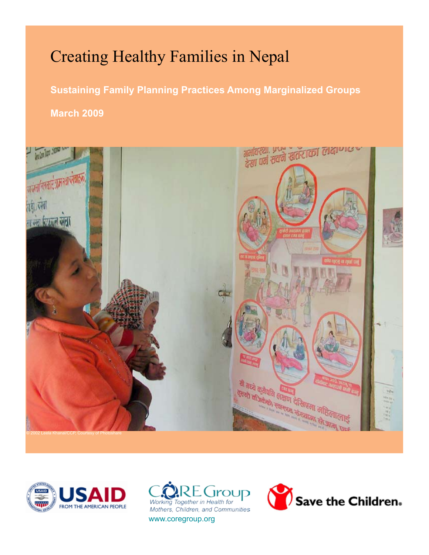# Creating Healthy Families in Nepal

**Sustaining Family Planning Practices Among Marginalized Groups March 2009**







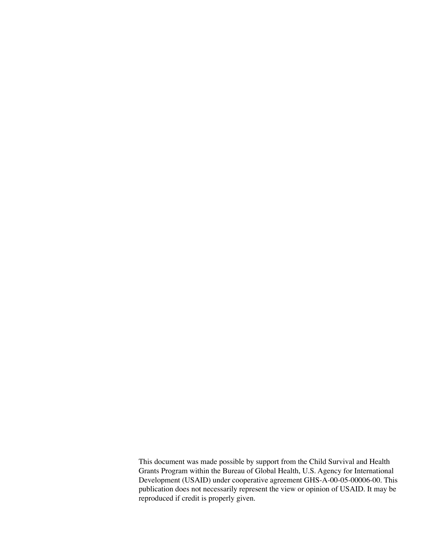This document was made possible by support from the Child Survival and Health Grants Program within the Bureau of Global Health, U.S. Agency for International Development (USAID) under cooperative agreement GHS-A-00-05-00006-00. This publication does not necessarily represent the view or opinion of USAID. It may be reproduced if credit is properly given.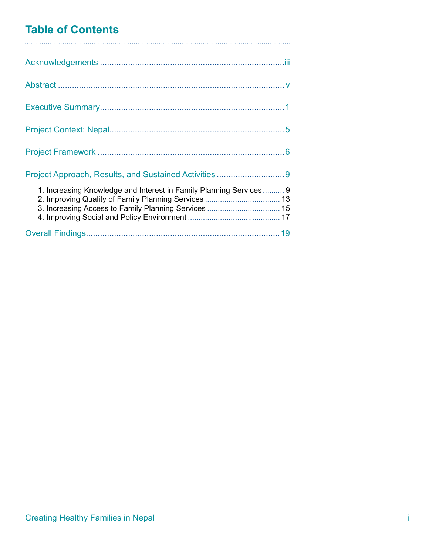## **Table of Contents**

| 1. Increasing Knowledge and Interest in Family Planning Services 9 |  |
|--------------------------------------------------------------------|--|
|                                                                    |  |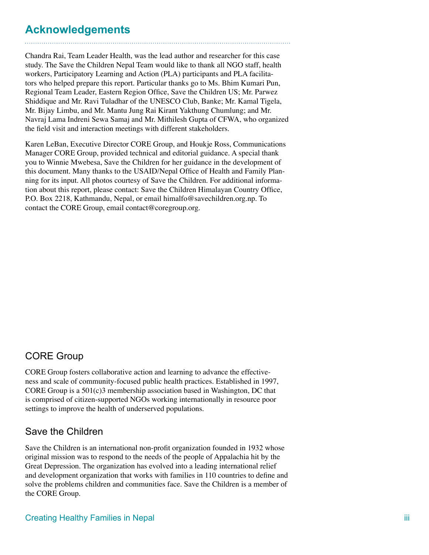## **Acknowledgements**

Chandra Rai, Team Leader Health, was the lead author and researcher for this case study. The Save the Children Nepal Team would like to thank all NGO staff, health workers, Participatory Learning and Action (PLA) participants and PLA facilitators who helped prepare this report. Particular thanks go to Ms. Bhim Kumari Pun, Regional Team Leader, Eastern Region Office, Save the Children US; Mr. Parwez Shiddique and Mr. Ravi Tuladhar of the UNESCO Club, Banke; Mr. Kamal Tigela, Mr. Bijay Limbu, and Mr. Mantu Jung Rai Kirant Yakthung Chumlung; and Mr. Navraj Lama Indreni Sewa Samaj and Mr. Mithilesh Gupta of CFWA, who organized the field visit and interaction meetings with different stakeholders.

Karen LeBan, Executive Director CORE Group, and Houkje Ross, Communications Manager CORE Group, provided technical and editorial guidance. A special thank you to Winnie Mwebesa, Save the Children for her guidance in the development of this document. Many thanks to the USAID/Nepal Office of Health and Family Planning for its input. All photos courtesy of Save the Children. For additional information about this report, please contact: Save the Children Himalayan Country Office, P.O. Box 2218, Kathmandu, Nepal, or email himalfo@savechildren.org.np. To contact the CORE Group, email contact@coregroup.org.

### CORE Group

CORE Group fosters collaborative action and learning to advance the effectiveness and scale of community-focused public health practices. Established in 1997, CORE Group is a  $501(c)3$  membership association based in Washington, DC that is comprised of citizen-supported NGOs working internationally in resource poor settings to improve the health of underserved populations.

### Save the Children

Save the Children is an international non-profit organization founded in 1932 whose original mission was to respond to the needs of the people of Appalachia hit by the Great Depression. The organization has evolved into a leading international relief and development organization that works with families in 110 countries to define and solve the problems children and communities face. Save the Children is a member of the CORE Group.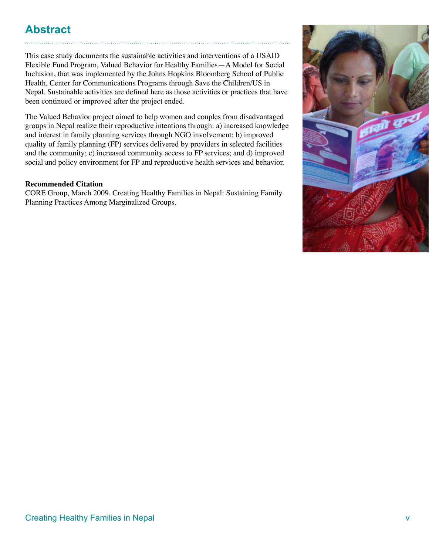## **Abstract**

This case study documents the sustainable activities and interventions of a USAID Flexible Fund Program, Valued Behavior for Healthy Families—A Model for Social Inclusion, that was implemented by the Johns Hopkins Bloomberg School of Public Health, Center for Communications Programs through Save the Children/US in Nepal. Sustainable activities are defined here as those activities or practices that have been continued or improved after the project ended.

The Valued Behavior project aimed to help women and couples from disadvantaged groups in Nepal realize their reproductive intentions through: a) increased knowledge and interest in family planning services through NGO involvement; b) improved quality of family planning (FP) services delivered by providers in selected facilities and the community; c) increased community access to FP services; and d) improved social and policy environment for FP and reproductive health services and behavior.

### **Recommended Citation**

CORE Group, March 2009. Creating Healthy Families in Nepal: Sustaining Family Planning Practices Among Marginalized Groups.

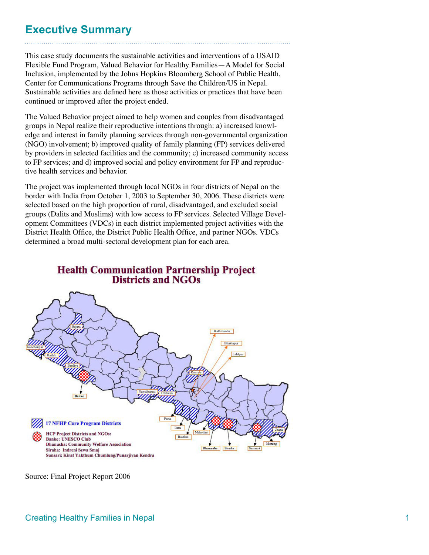## **Executive Summary**

This case study documents the sustainable activities and interventions of a USAID Flexible Fund Program, Valued Behavior for Healthy Families—A Model for Social Inclusion, implemented by the Johns Hopkins Bloomberg School of Public Health, Center for Communications Programs through Save the Children/US in Nepal. Sustainable activities are defined here as those activities or practices that have been continued or improved after the project ended.

The Valued Behavior project aimed to help women and couples from disadvantaged groups in Nepal realize their reproductive intentions through: a) increased knowledge and interest in family planning services through non-governmental organization (NGO) involvement; b) improved quality of family planning (FP) services delivered by providers in selected facilities and the community; c) increased community access to FP services; and d) improved social and policy environment for FP and reproductive health services and behavior.

The project was implemented through local NGOs in four districts of Nepal on the border with India from October 1, 2003 to September 30, 2006. These districts were selected based on the high proportion of rural, disadvantaged, and excluded social groups (Dalits and Muslims) with low access to FP services. Selected Village Development Committees (VDCs) in each district implemented project activities with the District Health Office, the District Public Health Office, and partner NGOs. VDCs determined a broad multi-sectoral development plan for each area.





Source: Final Project Report 2006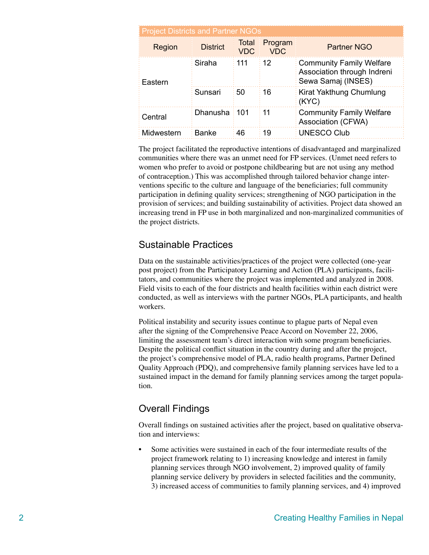| <b>Project Districts and Partner NGOs</b> |                 |                            |                       |                                                                                 |  |  |
|-------------------------------------------|-----------------|----------------------------|-----------------------|---------------------------------------------------------------------------------|--|--|
| Region                                    | <b>District</b> | <b>Total</b><br><b>VDC</b> | Program<br><b>VDC</b> | <b>Partner NGO</b>                                                              |  |  |
| Eastern                                   | Siraha          | 111                        | 12                    | : Community Family Welfare<br>Association through Indreni<br>Sewa Samaj (INSES) |  |  |
|                                           | Sunsari         | 50                         | 16                    | <b>Kirat Yakthung Chumlung</b><br>$\frac{1}{2}$ (KYC)                           |  |  |
| Central                                   | Dhanusha 101    |                            | 11                    | <b>Community Family Welfare</b><br>Association (CFWA)                           |  |  |
| Midwestern                                | Banke           | 46                         | 19                    | <b>UNESCO Club</b>                                                              |  |  |

The project facilitated the reproductive intentions of disadvantaged and marginalized communities where there was an unmet need for FP services. (Unmet need refers to women who prefer to avoid or postpone childbearing but are not using any method of contraception.) This was accomplished through tailored behavior change interventions specific to the culture and language of the beneficiaries; full community participation in defining quality services; strengthening of NGO participation in the provision of services; and building sustainability of activities. Project data showed an increasing trend in FP use in both marginalized and non-marginalized communities of the project districts.

### Sustainable Practices

Data on the sustainable activities/practices of the project were collected (one-year post project) from the Participatory Learning and Action (PLA) participants, facilitators, and communities where the project was implemented and analyzed in 2008. Field visits to each of the four districts and health facilities within each district were conducted, as well as interviews with the partner NGOs, PLA participants, and health workers.

Political instability and security issues continue to plague parts of Nepal even after the signing of the Comprehensive Peace Accord on November 22, 2006, limiting the assessment team's direct interaction with some program beneficiaries. Despite the political conflict situation in the country during and after the project, the project's comprehensive model of PLA, radio health programs, Partner Defined Quality Approach (PDQ), and comprehensive family planning services have led to a sustained impact in the demand for family planning services among the target population.

### Overall Findings

Overall findings on sustained activities after the project, based on qualitative observation and interviews:

Some activities were sustained in each of the four intermediate results of the project framework relating to 1) increasing knowledge and interest in family planning services through NGO involvement, 2) improved quality of family planning service delivery by providers in selected facilities and the community, 3) increased access of communities to family planning services, and 4) improved •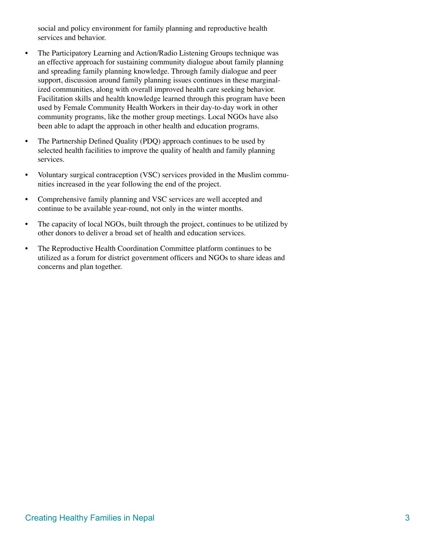social and policy environment for family planning and reproductive health services and behavior.

- The Participatory Learning and Action/Radio Listening Groups technique was an effective approach for sustaining community dialogue about family planning and spreading family planning knowledge. Through family dialogue and peer support, discussion around family planning issues continues in these marginalized communities, along with overall improved health care seeking behavior. Facilitation skills and health knowledge learned through this program have been used by Female Community Health Workers in their day-to-day work in other community programs, like the mother group meetings. Local NGOs have also been able to adapt the approach in other health and education programs. •
- The Partnership Defined Quality (PDQ) approach continues to be used by selected health facilities to improve the quality of health and family planning services. •
- Voluntary surgical contraception (VSC) services provided in the Muslim communities increased in the year following the end of the project. •
- Comprehensive family planning and VSC services are well accepted and continue to be available year-round, not only in the winter months. •
- The capacity of local NGOs, built through the project, continues to be utilized by other donors to deliver a broad set of health and education services. •
- The Reproductive Health Coordination Committee platform continues to be utilized as a forum for district government officers and NGOs to share ideas and concerns and plan together. •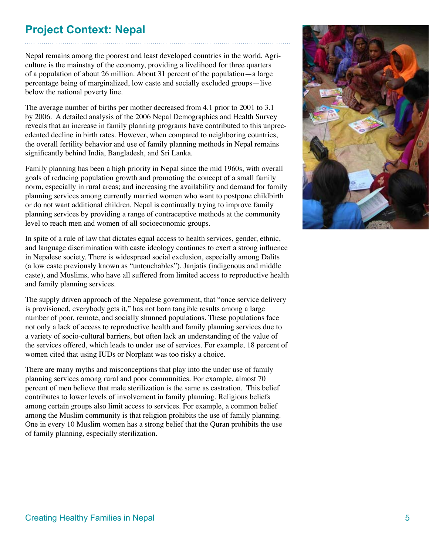## **Project Context: Nepal**

Nepal remains among the poorest and least developed countries in the world. Agriculture is the mainstay of the economy, providing a livelihood for three quarters of a population of about 26 million. About 31 percent of the population—a large percentage being of marginalized, low caste and socially excluded groups—live below the national poverty line.

The average number of births per mother decreased from 4.1 prior to 2001 to 3.1 by 2006. A detailed analysis of the 2006 Nepal Demographics and Health Survey reveals that an increase in family planning programs have contributed to this unprecedented decline in birth rates. However, when compared to neighboring countries, the overall fertility behavior and use of family planning methods in Nepal remains significantly behind India, Bangladesh, and Sri Lanka.

Family planning has been a high priority in Nepal since the mid 1960s, with overall goals of reducing population growth and promoting the concept of a small family norm, especially in rural areas; and increasing the availability and demand for family planning services among currently married women who want to postpone childbirth or do not want additional children. Nepal is continually trying to improve family planning services by providing a range of contraceptive methods at the community level to reach men and women of all socioeconomic groups.

In spite of a rule of law that dictates equal access to health services, gender, ethnic, and language discrimination with caste ideology continues to exert a strong influence in Nepalese society. There is widespread social exclusion, especially among Dalits (a low caste previously known as "untouchables"), Janjatis (indigenous and middle caste), and Muslims, who have all suffered from limited access to reproductive health and family planning services.

The supply driven approach of the Nepalese government, that "once service delivery is provisioned, everybody gets it," has not born tangible results among a large number of poor, remote, and socially shunned populations. These populations face not only a lack of access to reproductive health and family planning services due to a variety of socio-cultural barriers, but often lack an understanding of the value of the services offered, which leads to under use of services. For example, 18 percent of women cited that using IUDs or Norplant was too risky a choice.

There are many myths and misconceptions that play into the under use of family planning services among rural and poor communities. For example, almost 70 percent of men believe that male sterilization is the same as castration. This belief contributes to lower levels of involvement in family planning. Religious beliefs among certain groups also limit access to services. For example, a common belief among the Muslim community is that religion prohibits the use of family planning. One in every 10 Muslim women has a strong belief that the Quran prohibits the use of family planning, especially sterilization.

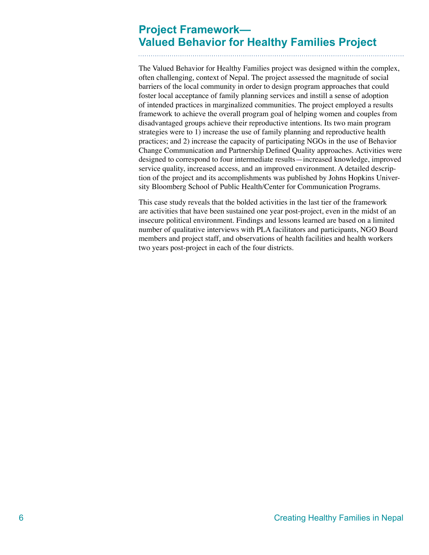## **Project Framework— Valued Behavior for Healthy Families Project**

The Valued Behavior for Healthy Families project was designed within the complex, often challenging, context of Nepal. The project assessed the magnitude of social barriers of the local community in order to design program approaches that could foster local acceptance of family planning services and instill a sense of adoption of intended practices in marginalized communities. The project employed a results framework to achieve the overall program goal of helping women and couples from disadvantaged groups achieve their reproductive intentions. Its two main program strategies were to 1) increase the use of family planning and reproductive health practices; and 2) increase the capacity of participating NGOs in the use of Behavior Change Communication and Partnership Defined Quality approaches. Activities were designed to correspond to four intermediate results—increased knowledge, improved service quality, increased access, and an improved environment. A detailed description of the project and its accomplishments was published by Johns Hopkins University Bloomberg School of Public Health/Center for Communication Programs.

This case study reveals that the bolded activities in the last tier of the framework are activities that have been sustained one year post-project, even in the midst of an insecure political environment. Findings and lessons learned are based on a limited number of qualitative interviews with PLA facilitators and participants, NGO Board members and project staff, and observations of health facilities and health workers two years post-project in each of the four districts.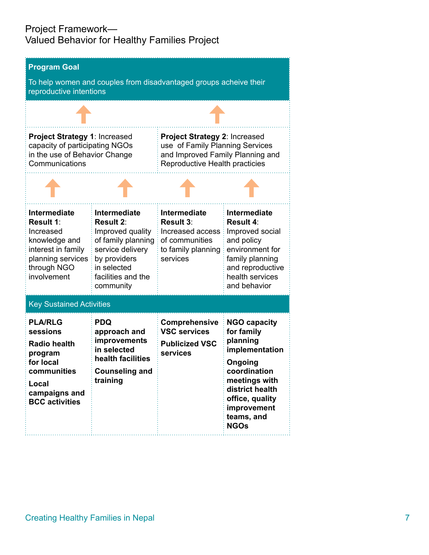### Project Framework— Valued Behavior for Healthy Families Project

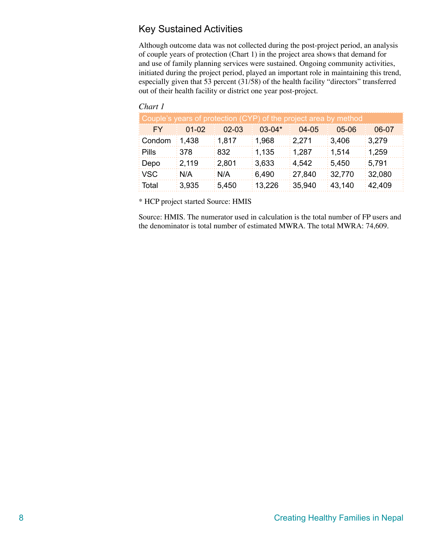### Key Sustained Activities

Although outcome data was not collected during the post-project period, an analysis of couple years of protection (Chart 1) in the project area shows that demand for and use of family planning services were sustained. Ongoing community activities, initiated during the project period, played an important role in maintaining this trend, especially given that 53 percent (31/58) of the health facility "directors" transferred out of their health facility or district one year post-project.

#### *Chart 1*

| Couple's years of protection (CYP) of the project area by method |           |         |              |           |         |          |
|------------------------------------------------------------------|-----------|---------|--------------|-----------|---------|----------|
| <b>FY</b>                                                        | $01 - 02$ | $02-03$ | $0.3 - 0.4*$ | $04 - 05$ | $05-06$ | 06-07    |
| : Condom                                                         | : 1.438   | ∶ 1.817 | 1,968        | : 2.271   | 3.406   | :3.279   |
| Pills                                                            | ∶378      | ፡ 832   | : 1.135      | :1.287    | : 1.514 | :1.259   |
| Depo                                                             | : 2,119   | : 2,801 | ∶3.633       | 4.542     | : 5.450 | ∶5.791   |
| : VSC                                                            | : N/A     | : N/A   | ∶6.490       | : 27.840  | :32.770 | :32.080  |
| ∶ Total                                                          | :3.935    | : 5.450 | 13.226       | :35.940   | 43.140  | : 42.409 |

\* HCP project started Source: HMIS

Source: HMIS. The numerator used in calculation is the total number of FP users and the denominator is total number of estimated MWRA. The total MWRA: 74,609.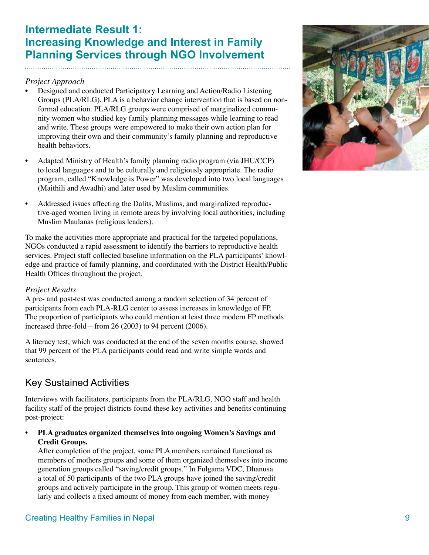## **Intermediate Result 1: Increasing Knowledge and Interest in Family Planning Services through NGO Involvement**

### *Project Approach*

- Designed and conducted Participatory Learning and Action/Radio Listening Groups (PLA/RLG). PLA is a behavior change intervention that is based on nonformal education. PLA/RLG groups were comprised of marginalized community women who studied key family planning messages while learning to read and write. These groups were empowered to make their own action plan for improving their own and their community's family planning and reproductive health behaviors. •
- Adapted Ministry of Health's family planning radio program (via JHU/CCP) to local languages and to be culturally and religiously appropriate. The radio program, called "Knowledge is Power" was developed into two local languages (Maithili and Awadhi) and later used by Muslim communities. •
- Addressed issues affecting the Dalits, Muslims, and marginalized reproductive-aged women living in remote areas by involving local authorities, including Muslim Maulanas (religious leaders). •

To make the activities more appropriate and practical for the targeted populations, NGOs conducted a rapid assessment to identify the barriers to reproductive health services. Project staff collected baseline information on the PLA participants' knowledge and practice of family planning, and coordinated with the District Health/Public Health Offices throughout the project.

### *Project Results*

A pre- and post-test was conducted among a random selection of 34 percent of participants from each PLA-RLG center to assess increases in knowledge of FP. The proportion of participants who could mention at least three modern FP methods increased three-fold—from 26 (2003) to 94 percent (2006).

A literacy test, which was conducted at the end of the seven months course, showed that 99 percent of the PLA participants could read and write simple words and sentences.

### Key Sustained Activities

Interviews with facilitators, participants from the PLA/RLG, NGO staff and health facility staff of the project districts found these key activities and benefits continuing post-project:

**PLA graduates organized themselves into ongoing Women's Savings and Credit Groups. •**

After completion of the project, some PLA members remained functional as members of mothers groups and some of them organized themselves into income generation groups called "saving/credit groups." In Fulgama VDC, Dhanusa a total of 50 participants of the two PLA groups have joined the saving/credit groups and actively participate in the group. This group of women meets regularly and collects a fixed amount of money from each member, with money

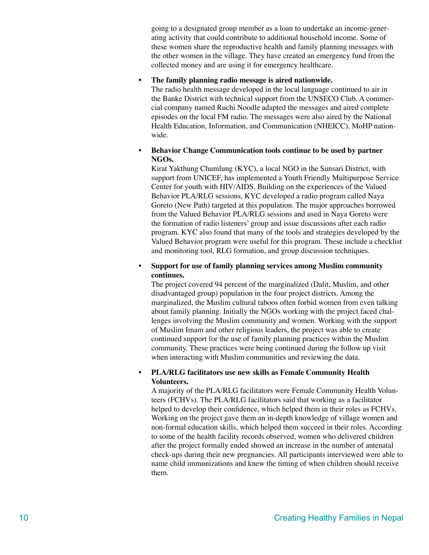going to a designated group member as a loan to undertake an income-generating activity that could contribute to additional household income. Some of these women share the reproductive health and family planning messages with the other women in the village. They have created an emergency fund from the collected money and are using it for emergency healthcare.

#### **The family planning radio message is aired nationwide. •**

The radio health message developed in the local language continued to air in the Banke District with technical support from the UNSECO Club. A commercial company named Ruchi Noodle adapted the messages and aired complete episodes on the local FM radio. The messages were also aired by the National Health Education, Information, and Communication (NHEICC), MoHP nationwide.

#### **Behavior Change Communication tools continue to be used by partner NGOs. •**

Kirat Yakthung Chumlung (KYC), a local NGO in the Sunsari District, with support from UNICEF, has implemented a Youth Friendly Multipurpose Service Center for youth with HIV/AIDS. Building on the experiences of the Valued Behavior PLA/RLG sessions, KYC developed a radio program called Naya Goreto (New Path) targeted at this population. The major approaches borrowed from the Valued Behavior PLA/RLG sessions and used in Naya Goreto were the formation of radio listeners' group and issue discussions after each radio program. KYC also found that many of the tools and strategies developed by the Valued Behavior program were useful for this program. These include a checklist and monitoring tool, RLG formation, and group discussion techniques.

#### **Support for use of family planning services among Muslim community continues. •**

The project covered 94 percent of the marginalized (Dalit, Muslim, and other disadvantaged group) population in the four project districts. Among the marginalized, the Muslim cultural taboos often forbid women from even talking about family planning. Initially the NGOs working with the project faced challenges involving the Muslim community and women. Working with the support of Muslim Imam and other religious leaders, the project was able to create continued support for the use of family planning practices within the Muslim community. These practices were being continued during the follow up visit when interacting with Muslim communities and reviewing the data.

#### **PLA/RLG facilitators use new skills as Female Community Health Volunteers. •**

A majority of the PLA/RLG facilitators were Female Community Health Volunteers (FCHVs). The PLA/RLG facilitators said that working as a facilitator helped to develop their confidence, which helped them in their roles as FCHVs. Working on the project gave them an in-depth knowledge of village women and non-formal education skills, which helped them succeed in their roles. According to some of the health facility records observed, women who delivered children after the project formally ended showed an increase in the number of antenatal check-ups during their new pregnancies. All participants interviewed were able to name child immunizations and knew the timing of when children should receive them.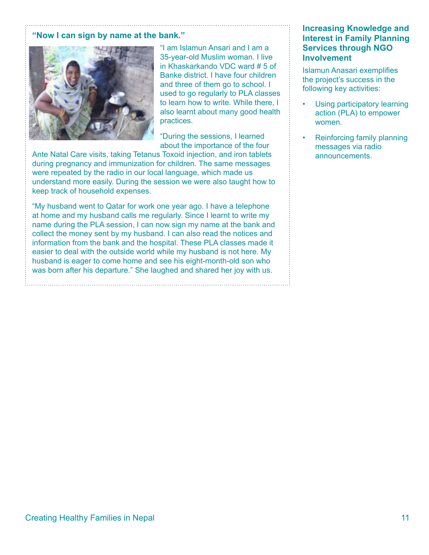#### **"Now I can sign by name at the bank."**



"I am Islamun Ansari and I am a 35-year-old Muslim woman. I live in Khaskarkando VDC ward # 5 of Banke district. I have four children and three of them go to school. I used to go regularly to PLA classes to learn how to write. While there, I also learnt about many good health practices.

"During the sessions, I learned about the importance of the four

Ante Natal Care visits, taking Tetanus Toxoid injection, and iron tablets during pregnancy and immunization for children. The same messages were repeated by the radio in our local language, which made us understand more easily. During the session we were also taught how to keep track of household expenses.

"My husband went to Qatar for work one year ago. I have a telephone at home and my husband calls me regularly. Since I learnt to write my name during the PLA session, I can now sign my name at the bank and collect the money sent by my husband. I can also read the notices and information from the bank and the hospital. These PLA classes made it easier to deal with the outside world while my husband is not here. My husband is eager to come home and see his eight-month-old son who was born after his departure." She laughed and shared her joy with us.

### **Increasing Knowledge and Interest in Family Planning Services through NGO Involvement**

Islamun Anasari exemplifies the project's success in the following key activities:

- Using participatory learning action (PLA) to empower women. •
- Reinforcing family planning messages via radio announcements. •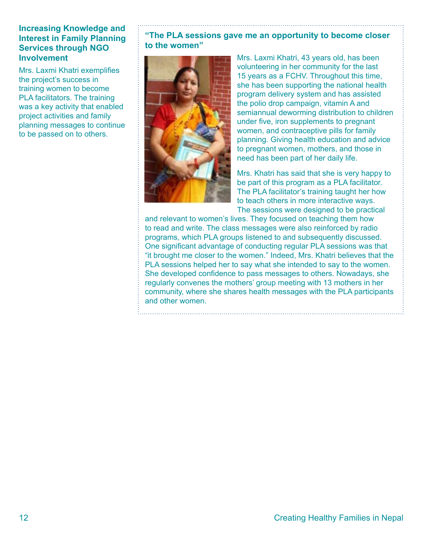### **Increasing Knowledge and Interest in Family Planning Services through NGO Involvement**

Mrs. Laxmi Khatri exemplifies the project's success in training women to become PLA facilitators. The training was a key activity that enabled project activities and family planning messages to continue to be passed on to others.

### **"The PLA sessions gave me an opportunity to become closer to the women"**



Mrs. Laxmi Khatri, 43 years old, has been volunteering in her community for the last 15 years as a FCHV. Throughout this time, she has been supporting the national health program delivery system and has assisted the polio drop campaign, vitamin A and semiannual deworming distribution to children under five, iron supplements to pregnant women, and contraceptive pills for family planning. Giving health education and advice to pregnant women, mothers, and those in need has been part of her daily life.

Mrs. Khatri has said that she is very happy to be part of this program as a PLA facilitator. The PLA facilitator's training taught her how to teach others in more interactive ways. The sessions were designed to be practical

and relevant to women's lives. They focused on teaching them how to read and write. The class messages were also reinforced by radio programs, which PLA groups listened to and subsequently discussed. One significant advantage of conducting regular PLA sessions was that "it brought me closer to the women." Indeed, Mrs. Khatri believes that the PLA sessions helped her to say what she intended to say to the women. She developed confidence to pass messages to others. Nowadays, she regularly convenes the mothers' group meeting with 13 mothers in her community, where she shares health messages with the PLA participants and other women.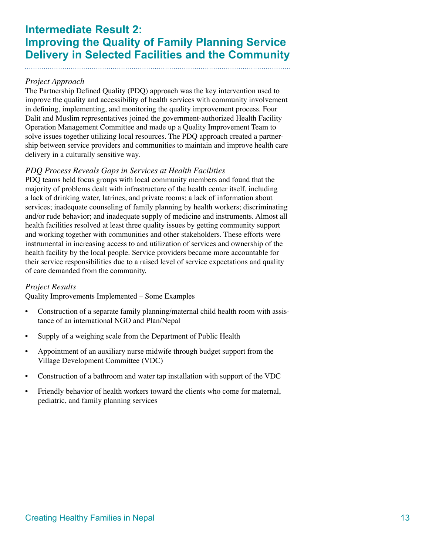## **Intermediate Result 2: Improving the Quality of Family Planning Service Delivery in Selected Facilities and the Community**

### *Project Approach*

The Partnership Defined Quality (PDQ) approach was the key intervention used to improve the quality and accessibility of health services with community involvement in defining, implementing, and monitoring the quality improvement process. Four Dalit and Muslim representatives joined the government-authorized Health Facility Operation Management Committee and made up a Quality Improvement Team to solve issues together utilizing local resources. The PDQ approach created a partnership between service providers and communities to maintain and improve health care delivery in a culturally sensitive way.

### *PDQ Process Reveals Gaps in Services at Health Facilities*

PDQ teams held focus groups with local community members and found that the majority of problems dealt with infrastructure of the health center itself, including a lack of drinking water, latrines, and private rooms; a lack of information about services; inadequate counseling of family planning by health workers; discriminating and/or rude behavior; and inadequate supply of medicine and instruments. Almost all health facilities resolved at least three quality issues by getting community support and working together with communities and other stakeholders. These efforts were instrumental in increasing access to and utilization of services and ownership of the health facility by the local people. Service providers became more accountable for their service responsibilities due to a raised level of service expectations and quality of care demanded from the community.

#### *Project Results*

Quality Improvements Implemented – Some Examples

- Construction of a separate family planning/maternal child health room with assistance of an international NGO and Plan/Nepal •
- Supply of a weighing scale from the Department of Public Health •
- Appointment of an auxiliary nurse midwife through budget support from the Village Development Committee (VDC) •
- Construction of a bathroom and water tap installation with support of the VDC •
- Friendly behavior of health workers toward the clients who come for maternal, pediatric, and family planning services •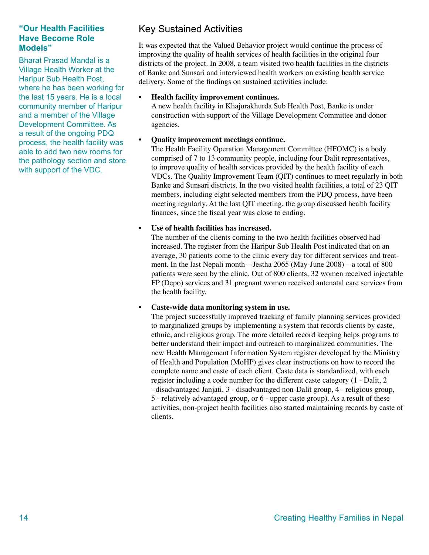### **"Our Health Facilities Have Become Role Models"**

Bharat Prasad Mandal is a Village Health Worker at the Haripur Sub Health Post, where he has been working for the last 15 years. He is a local community member of Haripur and a member of the Village Development Committee. As a result of the ongoing PDQ process, the health facility was able to add two new rooms for the pathology section and store with support of the VDC.

**•**

### Key Sustained Activities

It was expected that the Valued Behavior project would continue the process of improving the quality of health services of health facilities in the original four districts of the project. In 2008, a team visited two health facilities in the districts of Banke and Sunsari and interviewed health workers on existing health service delivery. Some of the findings on sustained activities include:

#### **Health facility improvement continues. •**

A new health facility in Khajurakhurda Sub Health Post, Banke is under construction with support of the Village Development Committee and donor agencies.

### **Quality improvement meetings continue.**

The Health Facility Operation Management Committee (HFOMC) is a body comprised of 7 to 13 community people, including four Dalit representatives, to improve quality of health services provided by the health facility of each VDCs. The Quality Improvement Team (QIT) continues to meet regularly in both Banke and Sunsari districts. In the two visited health facilities, a total of 23 QIT members, including eight selected members from the PDQ process, have been meeting regularly. At the last QIT meeting, the group discussed health facility finances, since the fiscal year was close to ending.

#### **Use of health facilities has increased. •**

The number of the clients coming to the two health facilities observed had increased. The register from the Haripur Sub Health Post indicated that on an average, 30 patients come to the clinic every day for different services and treatment. In the last Nepali month—Jestha 2065 (May-June 2008)—a total of 800 patients were seen by the clinic. Out of 800 clients, 32 women received injectable FP (Depo) services and 31 pregnant women received antenatal care services from the health facility.

#### **Caste-wide data monitoring system in use. •**

The project successfully improved tracking of family planning services provided to marginalized groups by implementing a system that records clients by caste, ethnic, and religious group. The more detailed record keeping helps programs to better understand their impact and outreach to marginalized communities. The new Health Management Information System register developed by the Ministry of Health and Population (MoHP) gives clear instructions on how to record the complete name and caste of each client. Caste data is standardized, with each register including a code number for the different caste category (1 - Dalit, 2 - disadvantaged Janjati, 3 - disadvantaged non-Dalit group, 4 - religious group, 5 - relatively advantaged group, or 6 - upper caste group). As a result of these activities, non-project health facilities also started maintaining records by caste of clients.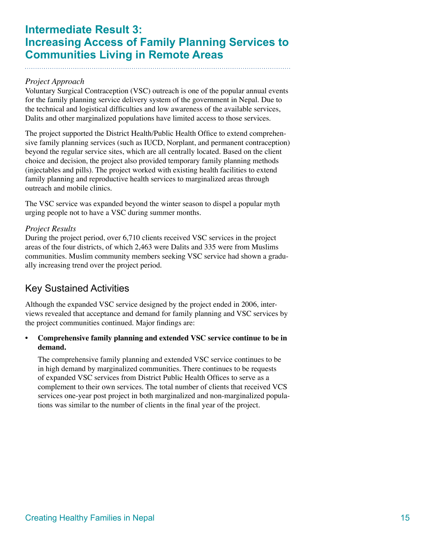## **Intermediate Result 3: Increasing Access of Family Planning Services to Communities Living in Remote Areas**

### *Project Approach*

Voluntary Surgical Contraception (VSC) outreach is one of the popular annual events for the family planning service delivery system of the government in Nepal. Due to the technical and logistical difficulties and low awareness of the available services, Dalits and other marginalized populations have limited access to those services.

The project supported the District Health/Public Health Office to extend comprehensive family planning services (such as IUCD, Norplant, and permanent contraception) beyond the regular service sites, which are all centrally located. Based on the client choice and decision, the project also provided temporary family planning methods (injectables and pills). The project worked with existing health facilities to extend family planning and reproductive health services to marginalized areas through outreach and mobile clinics.

The VSC service was expanded beyond the winter season to dispel a popular myth urging people not to have a VSC during summer months.

### *Project Results*

During the project period, over 6,710 clients received VSC services in the project areas of the four districts, of which 2,463 were Dalits and 335 were from Muslims communities. Muslim community members seeking VSC service had shown a gradually increasing trend over the project period.

### Key Sustained Activities

Although the expanded VSC service designed by the project ended in 2006, interviews revealed that acceptance and demand for family planning and VSC services by the project communities continued. Major findings are:

#### **Comprehensive family planning and extended VSC service continue to be in demand. •**

The comprehensive family planning and extended VSC service continues to be in high demand by marginalized communities. There continues to be requests of expanded VSC services from District Public Health Offices to serve as a complement to their own services. The total number of clients that received VCS services one-year post project in both marginalized and non-marginalized populations was similar to the number of clients in the final year of the project.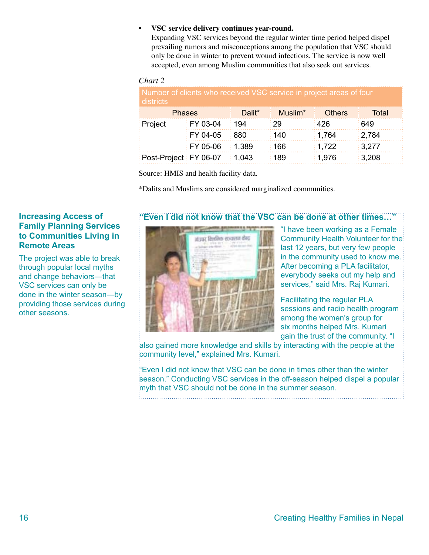#### **VSC service delivery continues year-round. •**

Expanding VSC services beyond the regular winter time period helped dispel prevailing rumors and misconceptions among the population that VSC should only be done in winter to prevent wound infections. The service is now well accepted, even among Muslim communities that also seek out services.

#### *Chart 2*

| Number of clients who received VSC service in project areas of four<br>districts |                        |              |                     |               |                     |  |  |
|----------------------------------------------------------------------------------|------------------------|--------------|---------------------|---------------|---------------------|--|--|
| <b>Phases</b>                                                                    |                        | Dalit*       | Muslim <sup>*</sup> | <b>Others</b> | Total               |  |  |
| Project                                                                          | $\frac{1}{2}$ FY 03-04 | ∶ 194        | : 29                | 426           | 649                 |  |  |
|                                                                                  | $FY 04-05$             | ∶880         | ∶ 140               | : 1.764       | : 2.784             |  |  |
|                                                                                  | $FY 05-06$             | : 1.389      | 166                 | : 1,722       | $\frac{1}{2}3,277$  |  |  |
| Post-Project FY 06-07                                                            |                        | $\div$ 1,043 | 189                 | ∶ 1.976       | $\frac{1}{2}$ 3,208 |  |  |

Source: HMIS and health facility data.

\*Dalits and Muslims are considered marginalized communities.

### **"Even I did not know that the VSC can be done at other times…"**



"I have been working as a Female Community Health Volunteer for the last 12 years, but very few people in the community used to know me. After becoming a PLA facilitator, everybody seeks out my help and services," said Mrs. Raj Kumari.

Facilitating the regular PLA sessions and radio health program among the women's group for six months helped Mrs. Kumari gain the trust of the community. "I

also gained more knowledge and skills by interacting with the people at the community level," explained Mrs. Kumari.

"Even I did not know that VSC can be done in times other than the winter season." Conducting VSC services in the off-season helped dispel a popular myth that VSC should not be done in the summer season.

#### **Increasing Access of Family Planning Services to Communities Living in Remote Areas**

The project was able to break through popular local myths and change behaviors—that VSC services can only be done in the winter season—by providing those services during other seasons.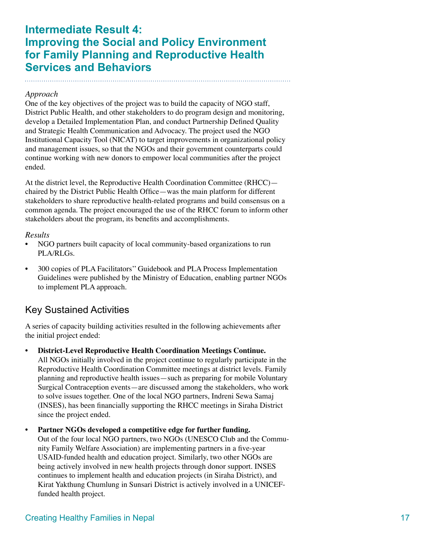## **Intermediate Result 4: Improving the Social and Policy Environment for Family Planning and Reproductive Health Services and Behaviors**

#### *Approach*

One of the key objectives of the project was to build the capacity of NGO staff, District Public Health, and other stakeholders to do program design and monitoring, develop a Detailed Implementation Plan, and conduct Partnership Defined Quality and Strategic Health Communication and Advocacy. The project used the NGO Institutional Capacity Tool (NICAT) to target improvements in organizational policy and management issues, so that the NGOs and their government counterparts could continue working with new donors to empower local communities after the project ended.

At the district level, the Reproductive Health Coordination Committee (RHCC) chaired by the District Public Health Office—was the main platform for different stakeholders to share reproductive health-related programs and build consensus on a common agenda. The project encouraged the use of the RHCC forum to inform other stakeholders about the program, its benefits and accomplishments.

#### *Results*

- NGO partners built capacity of local community-based organizations to run PLA/RLGs. •
- 300 copies of PLA Facilitators'' Guidebook and PLA Process Implementation Guidelines were published by the Ministry of Education, enabling partner NGOs to implement PLA approach. •

### Key Sustained Activities

A series of capacity building activities resulted in the following achievements after the initial project ended:

**District-Level Reproductive Health Coordination Meetings Continue.**  All NGOs initially involved in the project continue to regularly participate in the Reproductive Health Coordination Committee meetings at district levels. Family planning and reproductive health issues—such as preparing for mobile Voluntary Surgical Contraception events—are discussed among the stakeholders, who work to solve issues together. One of the local NGO partners, Indreni Sewa Samaj (INSES), has been financially supporting the RHCC meetings in Siraha District since the project ended. **•**

**Partner NGOs developed a competitive edge for further funding.** Out of the four local NGO partners, two NGOs (UNESCO Club and the Community Family Welfare Association) are implementing partners in a five-year USAID-funded health and education project. Similarly, two other NGOs are being actively involved in new health projects through donor support. INSES continues to implement health and education projects (in Siraha District), and **•**

Kirat Yakthung Chumlung in Sunsari District is actively involved in a UNICEF-

funded health project.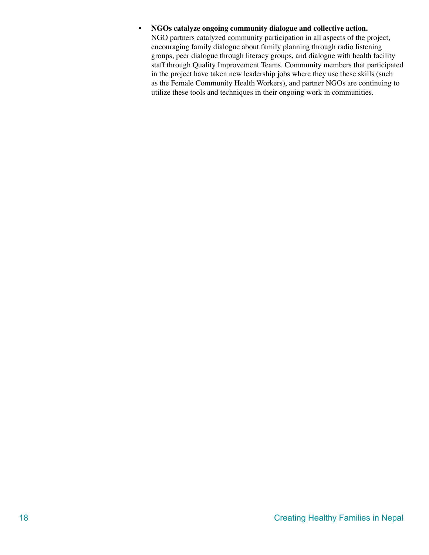#### **NGOs catalyze ongoing community dialogue and collective action. •**

NGO partners catalyzed community participation in all aspects of the project, encouraging family dialogue about family planning through radio listening groups, peer dialogue through literacy groups, and dialogue with health facility staff through Quality Improvement Teams. Community members that participated in the project have taken new leadership jobs where they use these skills (such as the Female Community Health Workers), and partner NGOs are continuing to utilize these tools and techniques in their ongoing work in communities.